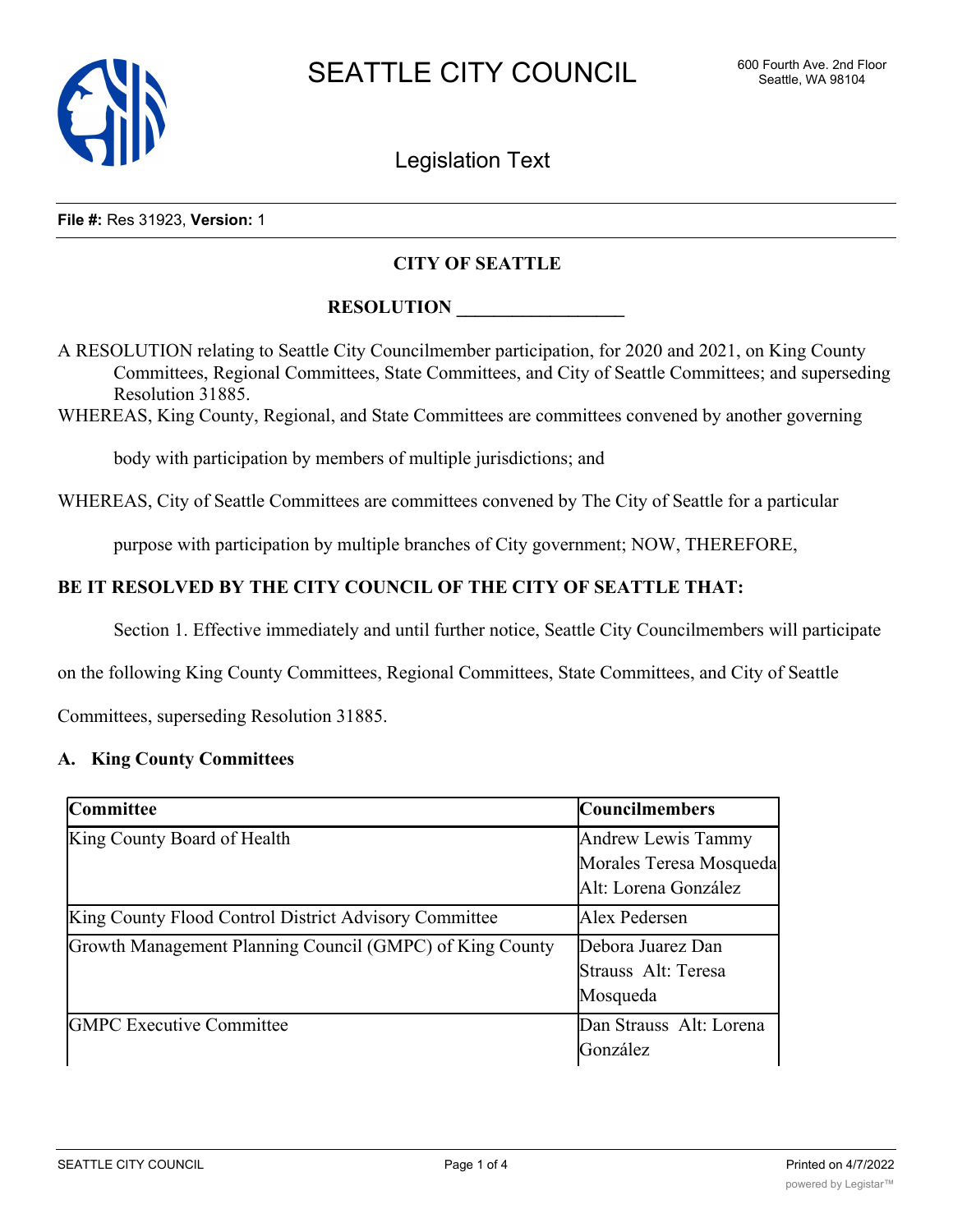

Legislation Text

#### **File #:** Res 31923, **Version:** 1

### **CITY OF SEATTLE**

### **RESOLUTION**

A RESOLUTION relating to Seattle City Councilmember participation, for 2020 and 2021, on King County Committees, Regional Committees, State Committees, and City of Seattle Committees; and superseding Resolution 31885.

WHEREAS, King County, Regional, and State Committees are committees convened by another governing

body with participation by members of multiple jurisdictions; and

WHEREAS, City of Seattle Committees are committees convened by The City of Seattle for a particular

purpose with participation by multiple branches of City government; NOW, THEREFORE,

## **BE IT RESOLVED BY THE CITY COUNCIL OF THE CITY OF SEATTLE THAT:**

Section 1. Effective immediately and until further notice, Seattle City Councilmembers will participate

on the following King County Committees, Regional Committees, State Committees, and City of Seattle

Committees, superseding Resolution 31885.

### **A. King County Committees**

| <b>Committee</b>                                         | <b>Councilmembers</b>                                                 |
|----------------------------------------------------------|-----------------------------------------------------------------------|
| King County Board of Health                              | Andrew Lewis Tammy<br>Morales Teresa Mosqueda<br>Alt: Lorena González |
| King County Flood Control District Advisory Committee    | Alex Pedersen                                                         |
| Growth Management Planning Council (GMPC) of King County | Debora Juarez Dan<br>Strauss Alt: Teresa<br>Mosqueda                  |
| <b>GMPC</b> Executive Committee                          | Dan Strauss Alt: Lorena<br>González                                   |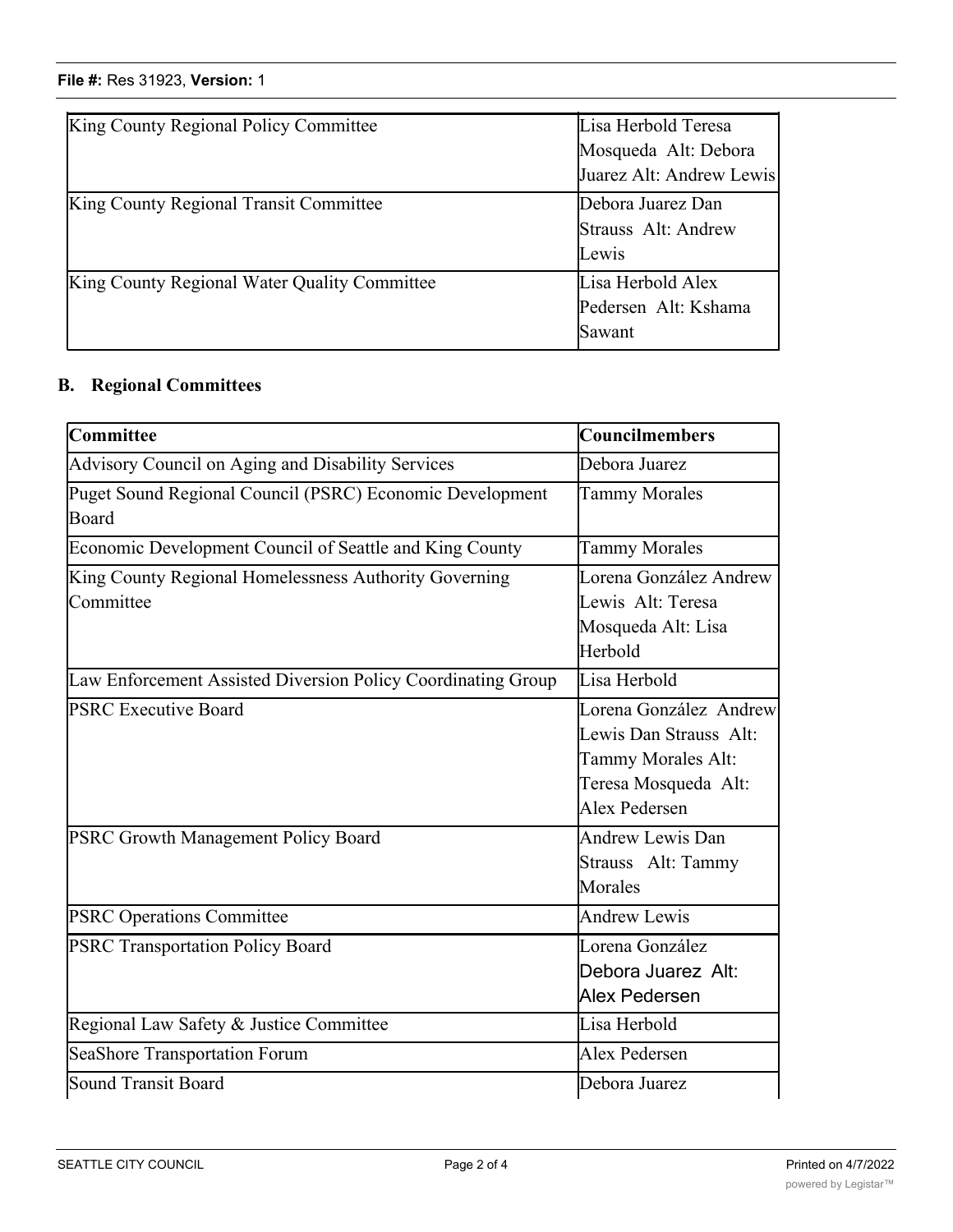# **File #:** Res 31923, Version: 1

| King County Regional Policy Committee        | Lisa Herbold Teresa<br>Mosqueda Alt: Debora<br>Juarez Alt: Andrew Lewis |
|----------------------------------------------|-------------------------------------------------------------------------|
| King County Regional Transit Committee       | Debora Juarez Dan<br>Strauss Alt: Andrew<br>Lewis                       |
| King County Regional Water Quality Committee | Lisa Herbold Alex<br>Pedersen Alt: Kshama<br>Sawant                     |

## **B. Regional Committees**

| Committee                                                          | Councilmembers                                                                                                  |
|--------------------------------------------------------------------|-----------------------------------------------------------------------------------------------------------------|
| Advisory Council on Aging and Disability Services                  | Debora Juarez                                                                                                   |
| Puget Sound Regional Council (PSRC) Economic Development<br>Board  | <b>Tammy Morales</b>                                                                                            |
| Economic Development Council of Seattle and King County            | <b>Tammy Morales</b>                                                                                            |
| King County Regional Homelessness Authority Governing<br>Committee | Lorena González Andrew<br>Lewis Alt: Teresa<br>Mosqueda Alt: Lisa<br>Herbold                                    |
| Law Enforcement Assisted Diversion Policy Coordinating Group       | Lisa Herbold                                                                                                    |
| <b>PSRC Executive Board</b>                                        | Lorena González Andrew<br>Lewis Dan Strauss Alt:<br>Tammy Morales Alt:<br>Teresa Mosqueda Alt:<br>Alex Pedersen |
| PSRC Growth Management Policy Board                                | <b>Andrew Lewis Dan</b><br>Strauss Alt: Tammy<br>Morales                                                        |
| <b>PSRC Operations Committee</b>                                   | Andrew Lewis                                                                                                    |
| <b>PSRC Transportation Policy Board</b>                            | Lorena González<br>Debora Juarez Alt:<br>Alex Pedersen                                                          |
| Regional Law Safety & Justice Committee                            | Lisa Herbold                                                                                                    |
| SeaShore Transportation Forum                                      | Alex Pedersen                                                                                                   |
| Sound Transit Board                                                | Debora Juarez                                                                                                   |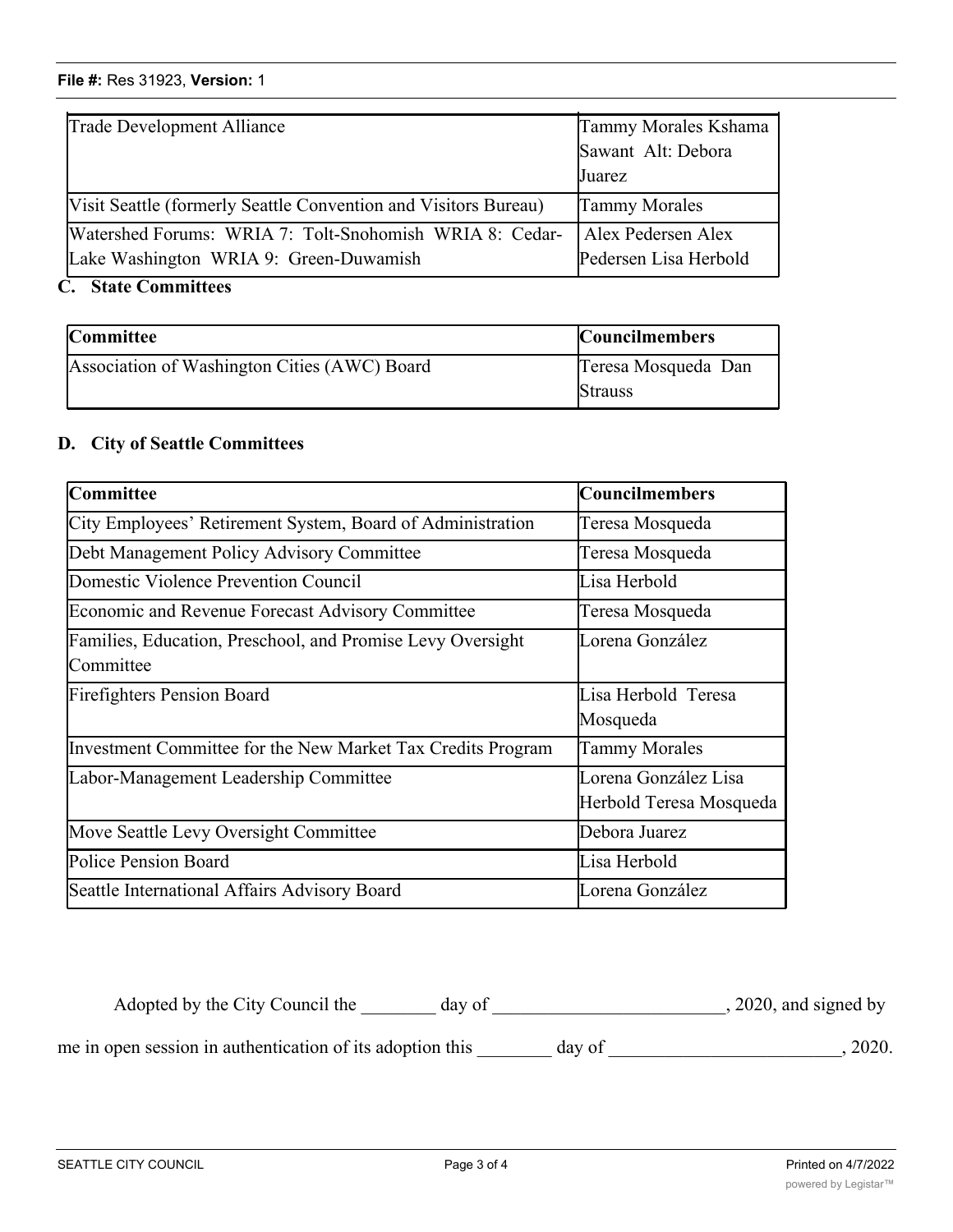# **File #:** Res 31923, **Version:** 1 SeaShore Transportation Forum Alex Pedersen Sound Transit Board Debora Juarez Debora Juarez Debora Juarez Debora Juarez Debora Juarez Debora Juarez Debora<br>Debora Juarez Debora Juarez Debora Juarez Debora Juarez Debora Juarez Debora Juarez Debora Juarez Debora Juare

| Trade Development Alliance                                                                        | Tammy Morales Kshama<br>Sawant Alt: Debora<br>Juarez |
|---------------------------------------------------------------------------------------------------|------------------------------------------------------|
| [Visit Seattle (formerly Seattle Convention and Visitors Bureau)                                  | <b>Tammy Morales</b>                                 |
| Watershed Forums: WRIA 7: Tolt-Snohomish WRIA 8: Cedar-<br>Lake Washington WRIA 9: Green-Duwamish | Alex Pedersen Alex<br>Pedersen Lisa Herbold          |

## **C. State Committees**

| <b>Committee</b>                             | <b>Councilmembers</b> |
|----------------------------------------------|-----------------------|
| Association of Washington Cities (AWC) Board | Teresa Mosqueda Dan   |
|                                              | <b>Strauss</b>        |

### **D. City of Seattle Committees**

| Committee                                                               | <b>Councilmembers</b>                           |
|-------------------------------------------------------------------------|-------------------------------------------------|
| City Employees' Retirement System, Board of Administration              | Teresa Mosqueda                                 |
| Debt Management Policy Advisory Committee                               | Teresa Mosqueda                                 |
| Domestic Violence Prevention Council                                    | Lisa Herbold                                    |
| <b>Economic and Revenue Forecast Advisory Committee</b>                 | Teresa Mosqueda                                 |
| Families, Education, Preschool, and Promise Levy Oversight<br>Committee | Lorena González                                 |
| <b>Firefighters Pension Board</b>                                       | Lisa Herbold Teresa<br>Mosqueda                 |
| Investment Committee for the New Market Tax Credits Program             | Tammy Morales                                   |
| Labor-Management Leadership Committee                                   | Lorena González Lisa<br>Herbold Teresa Mosqueda |
| Move Seattle Levy Oversight Committee                                   | Debora Juarez                                   |
| Police Pension Board                                                    | Lisa Herbold                                    |
| Seattle International Affairs Advisory Board                            | Lorena González                                 |

Adopted by the City Council the \_\_\_\_\_\_\_ day of \_\_\_\_\_\_\_\_\_\_\_\_\_\_\_\_\_\_\_\_\_\_\_\_\_, 2020, and signed by me in open session in authentication of its adoption this \_\_\_\_\_\_\_ day of \_\_\_\_\_\_\_\_\_\_\_\_\_\_\_\_\_\_\_\_\_\_\_, 2020.